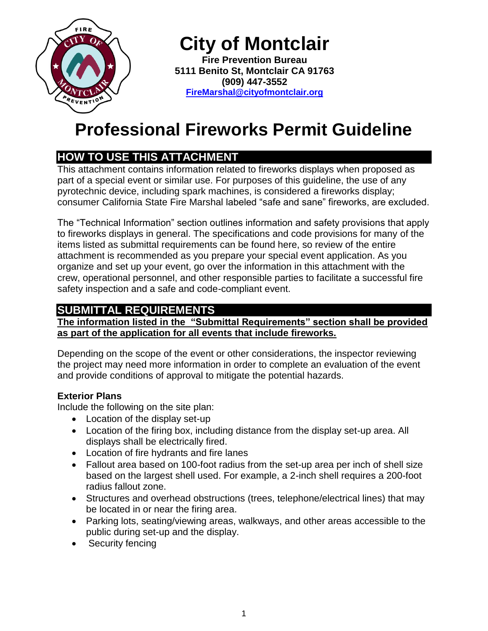

**City of Montclair**

**Fire Prevention Bureau 5111 Benito St, Montclair CA 91763 (909) 447-3552 [FireMarshal@cityofmontclair.org](mailto:FireMarshal@cityofmontclair.org)**

# **Professional Fireworks Permit Guideline**

# **HOW TO USE THIS ATTACHMENT**

This attachment contains information related to fireworks displays when proposed as part of a special event or similar use. For purposes of this guideline, the use of any pyrotechnic device, including spark machines, is considered a fireworks display; consumer California State Fire Marshal labeled "safe and sane" fireworks, are excluded.

The "Technical Information" section outlines information and safety provisions that apply to fireworks displays in general. The specifications and code provisions for many of the items listed as submittal requirements can be found here, so review of the entire attachment is recommended as you prepare your special event application. As you organize and set up your event, go over the information in this attachment with the crew, operational personnel, and other responsible parties to facilitate a successful fire safety inspection and a safe and code-compliant event.

# **SUBMITTAL REQUIREMENTS**

**The information listed in the "Submittal Requirements" section shall be provided as part of the application for all events that include fireworks.** 

Depending on the scope of the event or other considerations, the inspector reviewing the project may need more information in order to complete an evaluation of the event and provide conditions of approval to mitigate the potential hazards.

### **Exterior Plans**

Include the following on the site plan:

- Location of the display set-up
- Location of the firing box, including distance from the display set-up area. All displays shall be electrically fired.
- Location of fire hydrants and fire lanes
- Fallout area based on 100-foot radius from the set-up area per inch of shell size based on the largest shell used. For example, a 2-inch shell requires a 200-foot radius fallout zone.
- Structures and overhead obstructions (trees, telephone/electrical lines) that may be located in or near the firing area.
- Parking lots, seating/viewing areas, walkways, and other areas accessible to the public during set-up and the display.
- Security fencing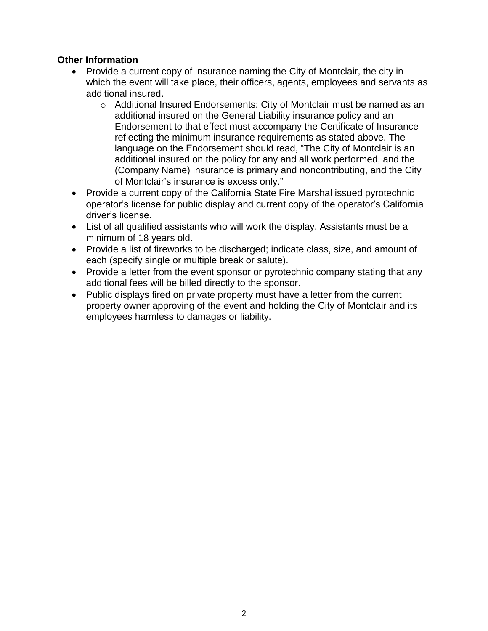#### **Other Information**

- Provide a current copy of insurance naming the City of Montclair, the city in which the event will take place, their officers, agents, employees and servants as additional insured.
	- o Additional Insured Endorsements: City of Montclair must be named as an additional insured on the General Liability insurance policy and an Endorsement to that effect must accompany the Certificate of Insurance reflecting the minimum insurance requirements as stated above. The language on the Endorsement should read, "The City of Montclair is an additional insured on the policy for any and all work performed, and the (Company Name) insurance is primary and noncontributing, and the City of Montclair's insurance is excess only."
- Provide a current copy of the California State Fire Marshal issued pyrotechnic operator's license for public display and current copy of the operator's California driver's license.
- List of all qualified assistants who will work the display. Assistants must be a minimum of 18 years old.
- Provide a list of fireworks to be discharged; indicate class, size, and amount of each (specify single or multiple break or salute).
- Provide a letter from the event sponsor or pyrotechnic company stating that any additional fees will be billed directly to the sponsor.
- Public displays fired on private property must have a letter from the current property owner approving of the event and holding the City of Montclair and its employees harmless to damages or liability.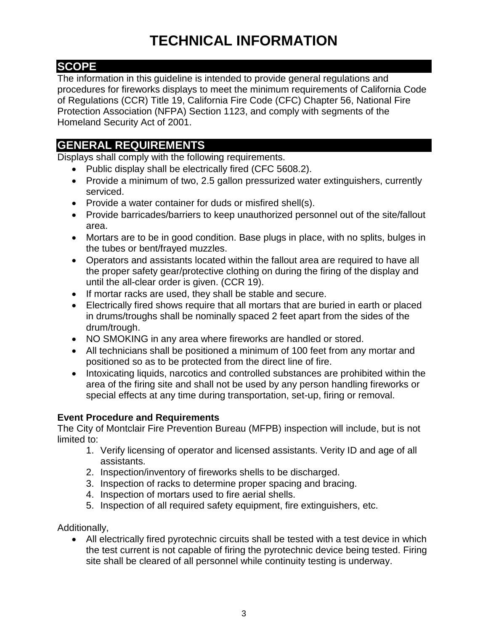# **SCOPE**

The information in this guideline is intended to provide general regulations and procedures for fireworks displays to meet the minimum requirements of California Code of Regulations (CCR) Title 19, California Fire Code (CFC) Chapter 56, National Fire Protection Association (NFPA) Section 1123, and comply with segments of the Homeland Security Act of 2001.

# **GENERAL REQUIREMENTS**

Displays shall comply with the following requirements.

- Public display shall be electrically fired (CFC 5608.2).
- Provide a minimum of two, 2.5 gallon pressurized water extinguishers, currently serviced.
- Provide a water container for duds or misfired shell(s).
- Provide barricades/barriers to keep unauthorized personnel out of the site/fallout area.
- Mortars are to be in good condition. Base plugs in place, with no splits, bulges in the tubes or bent/frayed muzzles.
- Operators and assistants located within the fallout area are required to have all the proper safety gear/protective clothing on during the firing of the display and until the all-clear order is given. (CCR 19).
- If mortar racks are used, they shall be stable and secure.
- Electrically fired shows require that all mortars that are buried in earth or placed in drums/troughs shall be nominally spaced 2 feet apart from the sides of the drum/trough.
- NO SMOKING in any area where fireworks are handled or stored.
- All technicians shall be positioned a minimum of 100 feet from any mortar and positioned so as to be protected from the direct line of fire.
- Intoxicating liquids, narcotics and controlled substances are prohibited within the area of the firing site and shall not be used by any person handling fireworks or special effects at any time during transportation, set-up, firing or removal.

### **Event Procedure and Requirements**

The City of Montclair Fire Prevention Bureau (MFPB) inspection will include, but is not limited to:

- 1. Verify licensing of operator and licensed assistants. Verity ID and age of all assistants.
- 2. Inspection/inventory of fireworks shells to be discharged.
- 3. Inspection of racks to determine proper spacing and bracing.
- 4. Inspection of mortars used to fire aerial shells.
- 5. Inspection of all required safety equipment, fire extinguishers, etc.

Additionally,

• All electrically fired pyrotechnic circuits shall be tested with a test device in which the test current is not capable of firing the pyrotechnic device being tested. Firing site shall be cleared of all personnel while continuity testing is underway.